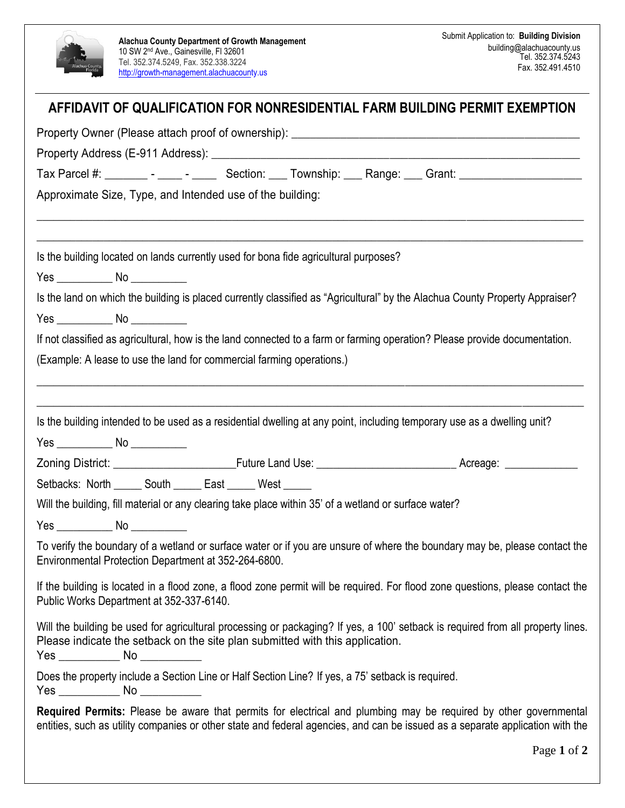

## Page **1** of **2 AFFIDAVIT OF QUALIFICATION FOR NONRESIDENTIAL FARM BUILDING PERMIT EXEMPTION**  Property Owner (Please attach proof of ownership): \_\_\_\_\_\_\_\_\_\_\_\_\_\_\_\_\_\_\_\_\_\_\_\_\_\_\_\_\_\_\_\_\_\_\_\_\_\_\_\_\_\_\_\_\_\_\_ Property Address (E-911 Address): **Example 2** Tax Parcel #: Tax Parcel #:  $\blacksquare$  - Let Section: Let Township: Exange: Grant:  $\blacksquare$ Approximate Size, Type, and Intended use of the building:  $\overline{\phantom{a}}$  , and the contribution of the contribution of the contribution of the contribution of the contribution of the contribution of the contribution of the contribution of the contribution of the contribution of the  $\_$  , and the set of the set of the set of the set of the set of the set of the set of the set of the set of the set of the set of the set of the set of the set of the set of the set of the set of the set of the set of th Is the building located on lands currently used for bona fide agricultural purposes? Yes \_\_\_\_\_\_\_\_\_\_ No \_\_\_\_\_\_\_\_\_\_ Is the land on which the building is placed currently classified as "Agricultural" by the Alachua County Property Appraiser? Yes \_\_\_\_\_\_\_\_\_\_ No \_\_\_\_\_\_\_\_\_\_ If not classified as agricultural, how is the land connected to a farm or farming operation? Please provide documentation. (Example: A lease to use the land for commercial farming operations.)  $\_$  , and the set of the set of the set of the set of the set of the set of the set of the set of the set of the set of the set of the set of the set of the set of the set of the set of the set of the set of the set of th  $\_$  , and the set of the set of the set of the set of the set of the set of the set of the set of the set of the set of the set of the set of the set of the set of the set of the set of the set of the set of the set of th Is the building intended to be used as a residential dwelling at any point, including temporary use as a dwelling unit? Yes \_\_\_\_\_\_\_\_\_\_\_\_\_ No \_\_\_\_\_\_\_\_\_\_\_\_ Zoning District: <br> **Euture Land Use: Example 20** Acreage: **Acreage: Example 20** Acreage: Setbacks: North \_\_\_\_ South \_\_\_\_ East \_\_\_\_ West Will the building, fill material or any clearing take place within 35' of a wetland or surface water? Yes \_\_\_\_\_\_\_\_ No \_\_\_\_\_\_\_\_\_\_\_ To verify the boundary of a wetland or surface water or if you are unsure of where the boundary may be, please contact the Environmental Protection Department at 352-264-6800. If the building is located in a flood zone, a flood zone permit will be required. For flood zone questions, please contact the Public Works Department at 352-337-6140. Will the building be used for agricultural processing or packaging? If yes, a 100' setback is required from all property lines. Please indicate the setback on the site plan submitted with this application. Yes \_\_\_\_\_\_\_\_\_\_ No \_\_\_\_\_\_\_\_\_\_ Does the property include a Section Line or Half Section Line? If yes, a 75' setback is required. Yes \_\_\_\_\_\_\_\_\_\_ No \_\_\_\_\_\_\_\_\_\_ **Required Permits:** Please be aware that permits for electrical and plumbing may be required by other governmental entities, such as utility companies or other state and federal agencies, and can be issued as a separate application with the